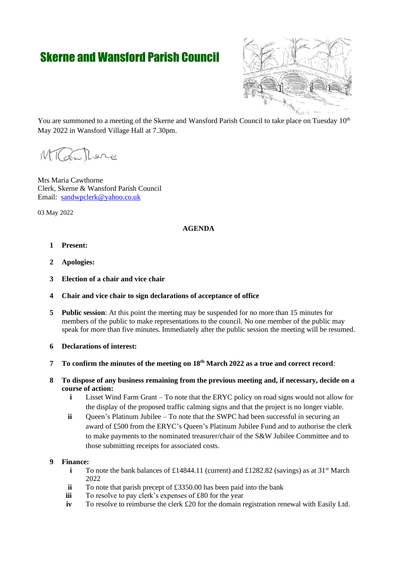# Skerne and Wansford Parish Council



You are summoned to a meeting of the Skerne and Wansford Parish Council to take place on Tuesday  $10<sup>th</sup>$ May 2022 in Wansford Village Hall at 7.30pm.

Lillare

Mrs Maria Cawthorne Clerk, Skerne & Wansford Parish Council Email: [sandwpclerk@yahoo.co.uk](mailto:sandwpclerk@yahoo.co.uk)

03 May 2022

## **AGENDA**

- **1 Present:**
- **2 Apologies:**
- **3 Election of a chair and vice chair**
- **4 Chair and vice chair to sign declarations of acceptance of office**
- **5 Public session**: At this point the meeting may be suspended for no more than 15 minutes for members of the public to make representations to the council. No one member of the public may speak for more than five minutes. Immediately after the public session the meeting will be resumed.
- **6 Declarations of interest:**
- **7 To confirm the minutes of the meeting on 18th March 2022 as a true and correct record**:
- **8 To dispose of any business remaining from the previous meeting and, if necessary, decide on a course of action:** 
	- **i** Lisset Wind Farm Grant To note that the ERYC policy on road signs would not allow for the display of the proposed traffic calming signs and that the project is no longer viable.
	- **ii** Queen's Platinum Jubilee To note that the SWPC had been successful in securing an award of £500 from the ERYC's Queen's Platinum Jubilee Fund and to authorise the clerk to make payments to the nominated treasurer/chair of the S&W Jubilee Committee and to those submitting receipts for associated costs.

## **9 Finance:**

- **i** To note the bank balances of £14844.11 (current) and £1282.82 (savings) as at  $31<sup>st</sup>$  March 2022
- **ii** To note that parish precept of £3350.00 has been paid into the bank
- **iii** To resolve to pay clerk's expenses of £80 for the year
- **iv** To resolve to reimburse the clerk £20 for the domain registration renewal with Easily Ltd.